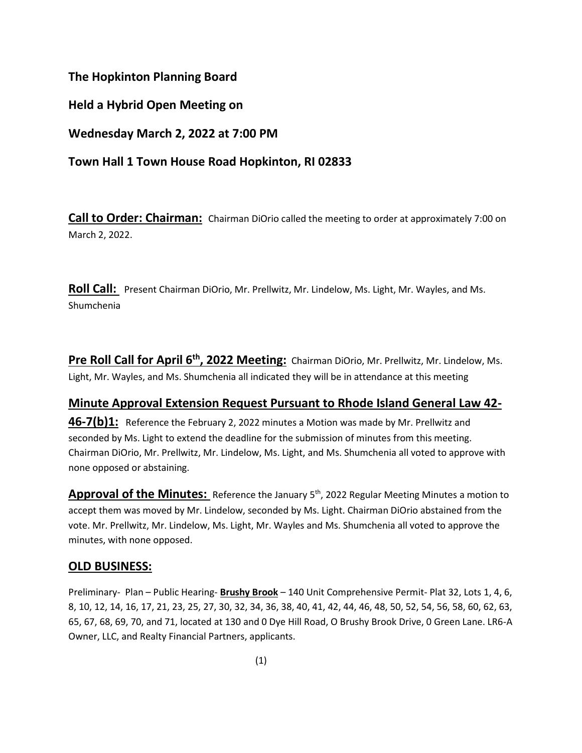#### **The Hopkinton Planning Board**

**Held a Hybrid Open Meeting on**

**Wednesday March 2, 2022 at 7:00 PM**

# **Town Hall 1 Town House Road Hopkinton, RI 02833**

**Call to Order: Chairman:** Chairman DiOrio called the meeting to order at approximately 7:00 on March 2, 2022.

**Roll Call:** Present Chairman DiOrio, Mr. Prellwitz, Mr. Lindelow, Ms. Light, Mr. Wayles, and Ms. Shumchenia

**Pre Roll Call for April 6th, 2022 Meeting:** Chairman DiOrio, Mr. Prellwitz, Mr. Lindelow, Ms. Light, Mr. Wayles, and Ms. Shumchenia all indicated they will be in attendance at this meeting

## **Minute Approval Extension Request Pursuant to Rhode Island General Law 42-**

**46-7(b)1:** Reference the February 2, 2022 minutes a Motion was made by Mr. Prellwitz and seconded by Ms. Light to extend the deadline for the submission of minutes from this meeting. Chairman DiOrio, Mr. Prellwitz, Mr. Lindelow, Ms. Light, and Ms. Shumchenia all voted to approve with none opposed or abstaining.

**Approval of the Minutes:** Reference the January 5<sup>th</sup>, 2022 Regular Meeting Minutes a motion to accept them was moved by Mr. Lindelow, seconded by Ms. Light. Chairman DiOrio abstained from the vote. Mr. Prellwitz, Mr. Lindelow, Ms. Light, Mr. Wayles and Ms. Shumchenia all voted to approve the minutes, with none opposed.

## **OLD BUSINESS:**

Preliminary- Plan – Public Hearing- **Brushy Brook** – 140 Unit Comprehensive Permit- Plat 32, Lots 1, 4, 6, 8, 10, 12, 14, 16, 17, 21, 23, 25, 27, 30, 32, 34, 36, 38, 40, 41, 42, 44, 46, 48, 50, 52, 54, 56, 58, 60, 62, 63, 65, 67, 68, 69, 70, and 71, located at 130 and 0 Dye Hill Road, O Brushy Brook Drive, 0 Green Lane. LR6-A Owner, LLC, and Realty Financial Partners, applicants.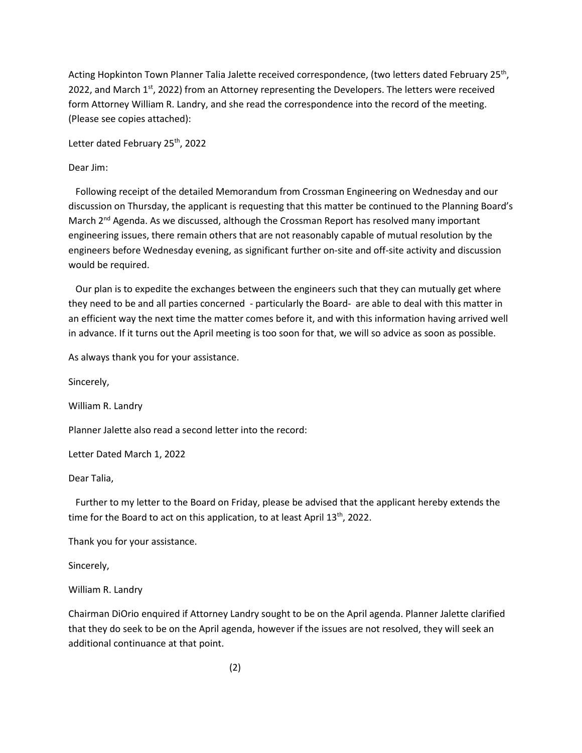Acting Hopkinton Town Planner Talia Jalette received correspondence, (two letters dated February 25<sup>th</sup>, 2022, and March  $1<sup>st</sup>$ , 2022) from an Attorney representing the Developers. The letters were received form Attorney William R. Landry, and she read the correspondence into the record of the meeting. (Please see copies attached):

Letter dated February 25<sup>th</sup>, 2022

#### Dear Jim:

 Following receipt of the detailed Memorandum from Crossman Engineering on Wednesday and our discussion on Thursday, the applicant is requesting that this matter be continued to the Planning Board's March  $2^{nd}$  Agenda. As we discussed, although the Crossman Report has resolved many important engineering issues, there remain others that are not reasonably capable of mutual resolution by the engineers before Wednesday evening, as significant further on-site and off-site activity and discussion would be required.

 Our plan is to expedite the exchanges between the engineers such that they can mutually get where they need to be and all parties concerned - particularly the Board- are able to deal with this matter in an efficient way the next time the matter comes before it, and with this information having arrived well in advance. If it turns out the April meeting is too soon for that, we will so advice as soon as possible.

As always thank you for your assistance.

Sincerely, William R. Landry

Planner Jalette also read a second letter into the record:

Letter Dated March 1, 2022

Dear Talia,

 Further to my letter to the Board on Friday, please be advised that the applicant hereby extends the time for the Board to act on this application, to at least April 13<sup>th</sup>, 2022.

Thank you for your assistance.

Sincerely,

William R. Landry

Chairman DiOrio enquired if Attorney Landry sought to be on the April agenda. Planner Jalette clarified that they do seek to be on the April agenda, however if the issues are not resolved, they will seek an additional continuance at that point.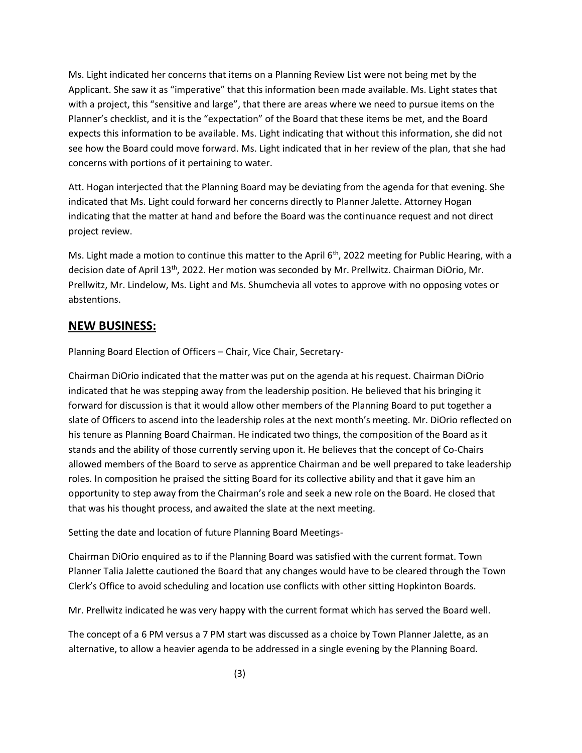Ms. Light indicated her concerns that items on a Planning Review List were not being met by the Applicant. She saw it as "imperative" that this information been made available. Ms. Light states that with a project, this "sensitive and large", that there are areas where we need to pursue items on the Planner's checklist, and it is the "expectation" of the Board that these items be met, and the Board expects this information to be available. Ms. Light indicating that without this information, she did not see how the Board could move forward. Ms. Light indicated that in her review of the plan, that she had concerns with portions of it pertaining to water.

Att. Hogan interjected that the Planning Board may be deviating from the agenda for that evening. She indicated that Ms. Light could forward her concerns directly to Planner Jalette. Attorney Hogan indicating that the matter at hand and before the Board was the continuance request and not direct project review.

Ms. Light made a motion to continue this matter to the April  $6<sup>th</sup>$ , 2022 meeting for Public Hearing, with a decision date of April 13<sup>th</sup>, 2022. Her motion was seconded by Mr. Prellwitz. Chairman DiOrio, Mr. Prellwitz, Mr. Lindelow, Ms. Light and Ms. Shumchevia all votes to approve with no opposing votes or abstentions.

#### **NEW BUSINESS:**

Planning Board Election of Officers – Chair, Vice Chair, Secretary-

Chairman DiOrio indicated that the matter was put on the agenda at his request. Chairman DiOrio indicated that he was stepping away from the leadership position. He believed that his bringing it forward for discussion is that it would allow other members of the Planning Board to put together a slate of Officers to ascend into the leadership roles at the next month's meeting. Mr. DiOrio reflected on his tenure as Planning Board Chairman. He indicated two things, the composition of the Board as it stands and the ability of those currently serving upon it. He believes that the concept of Co-Chairs allowed members of the Board to serve as apprentice Chairman and be well prepared to take leadership roles. In composition he praised the sitting Board for its collective ability and that it gave him an opportunity to step away from the Chairman's role and seek a new role on the Board. He closed that that was his thought process, and awaited the slate at the next meeting.

Setting the date and location of future Planning Board Meetings-

Chairman DiOrio enquired as to if the Planning Board was satisfied with the current format. Town Planner Talia Jalette cautioned the Board that any changes would have to be cleared through the Town Clerk's Office to avoid scheduling and location use conflicts with other sitting Hopkinton Boards.

Mr. Prellwitz indicated he was very happy with the current format which has served the Board well.

The concept of a 6 PM versus a 7 PM start was discussed as a choice by Town Planner Jalette, as an alternative, to allow a heavier agenda to be addressed in a single evening by the Planning Board.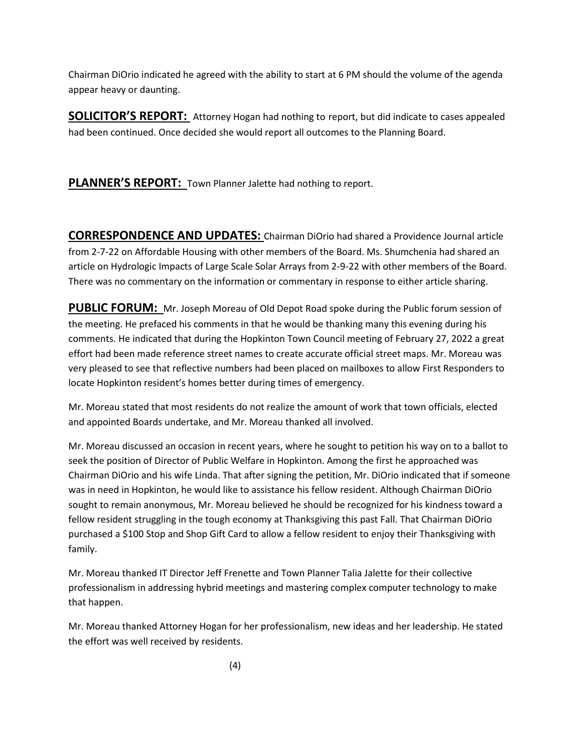Chairman DiOrio indicated he agreed with the ability to start at 6 PM should the volume of the agenda appear heavy or daunting.

**SOLICITOR'S REPORT:** Attorney Hogan had nothing to report, but did indicate to cases appealed had been continued. Once decided she would report all outcomes to the Planning Board.

PLANNER'S REPORT: Town Planner Jalette had nothing to report.

**CORRESPONDENCE AND UPDATES:** Chairman DiOrio had shared a Providence Journal article from 2-7-22 on Affordable Housing with other members of the Board. Ms. Shumchenia had shared an article on Hydrologic Impacts of Large Scale Solar Arrays from 2-9-22 with other members of the Board. There was no commentary on the information or commentary in response to either article sharing.

**PUBLIC FORUM:** Mr. Joseph Moreau of Old Depot Road spoke during the Public forum session of the meeting. He prefaced his comments in that he would be thanking many this evening during his comments. He indicated that during the Hopkinton Town Council meeting of February 27, 2022 a great effort had been made reference street names to create accurate official street maps. Mr. Moreau was very pleased to see that reflective numbers had been placed on mailboxes to allow First Responders to locate Hopkinton resident's homes better during times of emergency.

Mr. Moreau stated that most residents do not realize the amount of work that town officials, elected and appointed Boards undertake, and Mr. Moreau thanked all involved.

Mr. Moreau discussed an occasion in recent years, where he sought to petition his way on to a ballot to seek the position of Director of Public Welfare in Hopkinton. Among the first he approached was Chairman DiOrio and his wife Linda. That after signing the petition, Mr. DiOrio indicated that if someone was in need in Hopkinton, he would like to assistance his fellow resident. Although Chairman DiOrio sought to remain anonymous, Mr. Moreau believed he should be recognized for his kindness toward a fellow resident struggling in the tough economy at Thanksgiving this past Fall. That Chairman DiOrio purchased a \$100 Stop and Shop Gift Card to allow a fellow resident to enjoy their Thanksgiving with family.

Mr. Moreau thanked IT Director Jeff Frenette and Town Planner Talia Jalette for their collective professionalism in addressing hybrid meetings and mastering complex computer technology to make that happen.

Mr. Moreau thanked Attorney Hogan for her professionalism, new ideas and her leadership. He stated the effort was well received by residents.